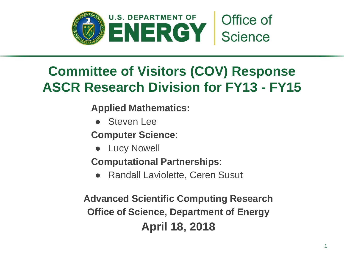

# **Committee of Visitors (COV) Response ASCR Research Division for FY13 - FY15**

**Applied Mathematics:**

● Steven Lee

**Computer Science**:

● Lucy Nowell

**Computational Partnerships**:

● Randall Laviolette, Ceren Susut

**Advanced Scientific Computing Research Office of Science, Department of Energy April 18, 2018**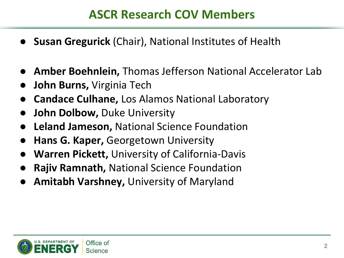## **ASCR Research COV Members**

- **Susan Gregurick (Chair), National Institutes of Health**
- Amber Boehnlein, Thomas Jefferson National Accelerator Lab
- **John Burns,** Virginia Tech
- **Candace Culhane, Los Alamos National Laboratory**
- **John Dolbow, Duke University**
- **Leland Jameson, National Science Foundation**
- **Hans G. Kaper, Georgetown University**
- **Warren Pickett, University of California-Davis**
- **Rajiv Ramnath, National Science Foundation**
- Amitabh Varshney, University of Maryland

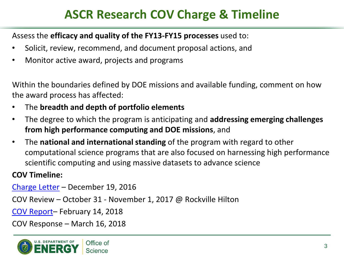## **ASCR Research COV Charge & Timeline**

#### Assess the **efficacy and quality of the FY13-FY15 processes** used to:

- Solicit, review, recommend, and document proposal actions, and
- Monitor active award, projects and programs

Within the boundaries defined by DOE missions and available funding, comment on how the award process has affected:

- The **breadth and depth of portfolio elements**
- The degree to which the program is anticipating and **addressing emerging challenges from high performance computing and DOE missions**, and
- The **national and international standing** of the program with regard to other computational science programs that are also focused on harnessing high performance scientific computing and using massive datasets to advance science

#### **COV Timeline:**

[Charge Letter](https://science.energy.gov/~/media/ascr/ascac/pdf/charges/2016/2012-1219-ASCAC-charge-COV-signed.pdf) – December 19, 2016

COV Review – October 31 - November 1, 2017 @ Rockville Hilton

[COV Report](https://science.energy.gov/~/media/ascr/ascac/pdf/meetings/201712/ASCAC_DOE-COV_report-20171221.pdf)– February 14, 2018

COV Response – March 16, 2018

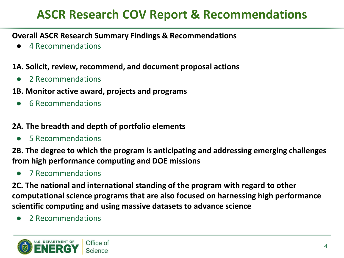## **ASCR Research COV Report & Recommendations**

#### **Overall ASCR Research Summary Findings & Recommendations**

4 Recommendations

#### **1A. Solicit, review, recommend, and document proposal actions**

- 2 Recommendations
- **1B. Monitor active award, projects and programs**
	- 6 Recommendations

#### **2A. The breadth and depth of portfolio elements**

5 Recommendations

**2B. The degree to which the program is anticipating and addressing emerging challenges from high performance computing and DOE missions**

● 7 Recommendations

**2C. The national and international standing of the program with regard to other computational science programs that are also focused on harnessing high performance scientific computing and using massive datasets to advance science**

● 2 Recommendations

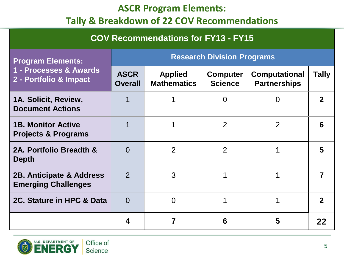### **ASCR Program Elements:**

## **Tally & Breakdown of 22 COV Recommendations**

| <b>COV Recommendations for FY13 - FY15</b>                                   |                                   |                                      |                                   |                                             |              |
|------------------------------------------------------------------------------|-----------------------------------|--------------------------------------|-----------------------------------|---------------------------------------------|--------------|
| <b>Program Elements:</b><br>1 - Processes & Awards<br>2 - Portfolio & Impact | <b>Research Division Programs</b> |                                      |                                   |                                             |              |
|                                                                              | <b>ASCR</b><br><b>Overall</b>     | <b>Applied</b><br><b>Mathematics</b> | <b>Computer</b><br><b>Science</b> | <b>Computational</b><br><b>Partnerships</b> | <b>Tally</b> |
| 1A. Solicit, Review,<br><b>Document Actions</b>                              |                                   |                                      | $\Omega$                          | $\Omega$                                    | $\mathbf 2$  |
| <b>1B. Monitor Active</b><br><b>Projects &amp; Programs</b>                  |                                   | 1                                    | $\overline{2}$                    | 2                                           | 6            |
| 2A. Portfolio Breadth &<br><b>Depth</b>                                      | $\Omega$                          | 2                                    | $\overline{2}$                    |                                             | 5            |
| 2B. Anticipate & Address<br><b>Emerging Challenges</b>                       | $\overline{2}$                    | 3                                    |                                   |                                             | 7            |
| 2C. Stature in HPC & Data                                                    | $\Omega$                          | $\Omega$                             |                                   |                                             | $\mathbf{2}$ |
|                                                                              | 4                                 |                                      | 6                                 | 5                                           | 22           |

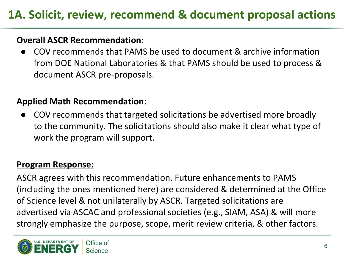### **Overall ASCR Recommendation:**

COV recommends that PAMS be used to document & archive information from DOE National Laboratories & that PAMS should be used to process & document ASCR pre-proposals.

### **Applied Math Recommendation:**

COV recommends that targeted solicitations be advertised more broadly to the community. The solicitations should also make it clear what type of work the program will support.

### **Program Response:**

ASCR agrees with this recommendation. Future enhancements to PAMS (including the ones mentioned here) are considered & determined at the Office of Science level & not unilaterally by ASCR. Targeted solicitations are advertised via ASCAC and professional societies (e.g., SIAM, ASA) & will more strongly emphasize the purpose, scope, merit review criteria, & other factors.

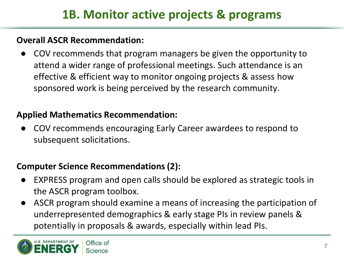### **Overall ASCR Recommendation:**

COV recommends that program managers be given the opportunity to attend a wider range of professional meetings. Such attendance is an effective & efficient way to monitor ongoing projects & assess how sponsored work is being perceived by the research community.

### **Applied Mathematics Recommendation:**

COV recommends encouraging Early Career awardees to respond to subsequent solicitations.

## **Computer Science Recommendations (2):**

- EXPRESS program and open calls should be explored as strategic tools in the ASCR program toolbox.
- ASCR program should examine a means of increasing the participation of underrepresented demographics & early stage PIs in review panels & potentially in proposals & awards, especially within lead PIs.

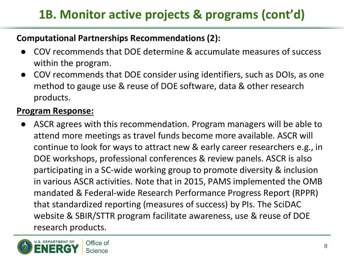# **1B. Monitor active projects & programs (cont'd)**

### **Computational Partnerships Recommendations (2):**

- COV recommends that DOE determine & accumulate measures of success within the program.
- COV recommends that DOE consider using identifiers, such as DOIs, as one method to gauge use & reuse of DOE software, data & other research products.

### **Program Response:**

ASCR agrees with this recommendation. Program managers will be able to attend more meetings as travel funds become more available. ASCR will continue to look for ways to attract new & early career researchers e.g., in DOE workshops, professional conferences & review panels. ASCR is also participating in a SC-wide working group to promote diversity & inclusion in various ASCR activities. Note that in 2015, PAMS implemented the OMB mandated & Federal-wide Research Performance Progress Report (RPPR) that standardized reporting (measures of success) by PIs. The SciDAC website & SBIR/STTR program facilitate awareness, use & reuse of DOE research products.

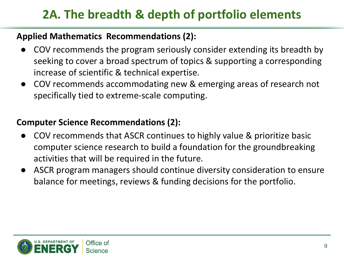# **2A. The breadth & depth of portfolio elements**

### **Applied Mathematics Recommendations (2):**

- COV recommends the program seriously consider extending its breadth by seeking to cover a broad spectrum of topics & supporting a corresponding increase of scientific & technical expertise.
- COV recommends accommodating new & emerging areas of research not specifically tied to extreme-scale computing.

### **Computer Science Recommendations (2):**

- COV recommends that ASCR continues to highly value & prioritize basic computer science research to build a foundation for the groundbreaking activities that will be required in the future.
- ASCR program managers should continue diversity consideration to ensure balance for meetings, reviews & funding decisions for the portfolio.

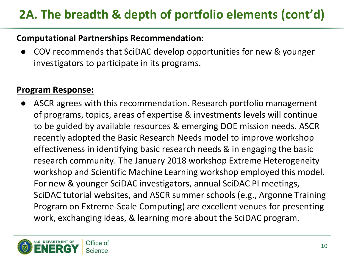# **2A. The breadth & depth of portfolio elements (cont'd)**

#### **Computational Partnerships Recommendation:**

COV recommends that SciDAC develop opportunities for new & younger investigators to participate in its programs.

#### **Program Response:**

ASCR agrees with this recommendation. Research portfolio management of programs, topics, areas of expertise & investments levels will continue to be guided by available resources & emerging DOE mission needs. ASCR recently adopted the Basic Research Needs model to improve workshop effectiveness in identifying basic research needs & in engaging the basic research community. The January 2018 workshop Extreme Heterogeneity workshop and Scientific Machine Learning workshop employed this model. For new & younger SciDAC investigators, annual SciDAC PI meetings, SciDAC tutorial websites, and ASCR summer schools (e.g., Argonne Training Program on Extreme-Scale Computing) are excellent venues for presenting work, exchanging ideas, & learning more about the SciDAC program.

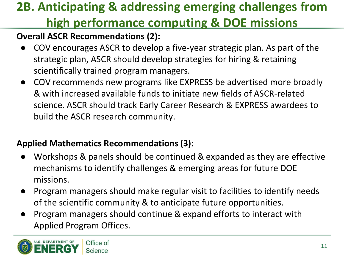# **2B. Anticipating & addressing emerging challenges from high performance computing & DOE missions**

## **Overall ASCR Recommendations (2):**

- COV encourages ASCR to develop a five-year strategic plan. As part of the strategic plan, ASCR should develop strategies for hiring & retaining scientifically trained program managers.
- COV recommends new programs like EXPRESS be advertised more broadly & with increased available funds to initiate new fields of ASCR-related science. ASCR should track Early Career Research & EXPRESS awardees to build the ASCR research community.

## **Applied Mathematics Recommendations (3):**

- Workshops & panels should be continued & expanded as they are effective mechanisms to identify challenges & emerging areas for future DOE missions.
- Program managers should make regular visit to facilities to identify needs of the scientific community & to anticipate future opportunities.
- Program managers should continue & expand efforts to interact with Applied Program Offices.

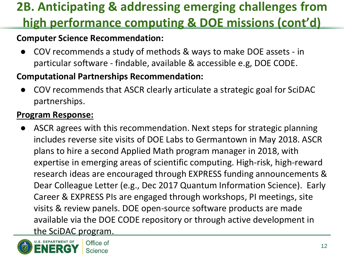# **2B. Anticipating & addressing emerging challenges from high performance computing & DOE missions (cont'd)**

### **Computer Science Recommendation:**

COV recommends a study of methods & ways to make DOE assets - in particular software - findable, available & accessible e.g, DOE CODE.

### **Computational Partnerships Recommendation:**

COV recommends that ASCR clearly articulate a strategic goal for SciDAC partnerships.

### **Program Response:**

ASCR agrees with this recommendation. Next steps for strategic planning includes reverse site visits of DOE Labs to Germantown in May 2018. ASCR plans to hire a second Applied Math program manager in 2018, with expertise in emerging areas of scientific computing. High-risk, high-reward research ideas are encouraged through EXPRESS funding announcements & Dear Colleague Letter (e.g., Dec 2017 Quantum Information Science). Early Career & EXPRESS PIs are engaged through workshops, PI meetings, site visits & review panels. DOE open-source software products are made available via the DOE CODE repository or through active development in the SciDAC program.